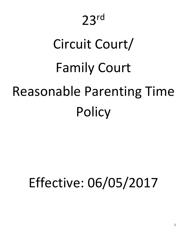# Circuit Court/ Family Court Reasonable Parenting Time **Policy**

# Effective: 06/05/2017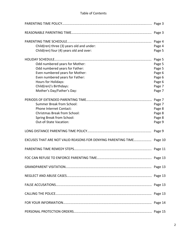# Table of Contents

| Child(ren) three (3) years old and under:                             | Page 4 |
|-----------------------------------------------------------------------|--------|
| Child(ren) four (4) years old and over:                               | Page 5 |
|                                                                       | Page 5 |
| Odd numbered years for Mother:                                        | Page 5 |
| Odd numbered years for Father:                                        | Page 5 |
| Even numbered years for Mother:                                       | Page 6 |
| Even numbered years for Father:                                       | Page 6 |
| Hours for Holidays:                                                   | Page 6 |
| Child(ren)'s Birthdays:                                               | Page 7 |
| Mother's Day/Father's Day:                                            | Page 7 |
|                                                                       |        |
| <b>Summer Break from School:</b>                                      | Page 7 |
| <b>Phone Internet Contact:</b>                                        | Page 8 |
| <b>Christmas Break from School:</b>                                   | Page 8 |
| Spring Break from School:                                             | Page 8 |
| Out-of-State Vacation:                                                | Page 9 |
|                                                                       |        |
| EXCUSES THAT ARE NOT VALID REASONS FOR DENYING PARENTING TIME Page 10 |        |
|                                                                       |        |
|                                                                       |        |
|                                                                       |        |
|                                                                       |        |
|                                                                       |        |
|                                                                       |        |
|                                                                       |        |
|                                                                       |        |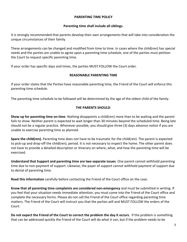#### **PARENTING TIME POLICY**

#### **Parenting time shall include all siblings.**

It is strongly recommended that parents develop their own arrangements that will take into consideration the unique circumstances of their family.

These arrangements can be changed and modified from time to time. In cases where the child(ren) has special needs and the parties are unable to agree upon a parenting time schedule, one of the parties must petition the Court to request specific parenting time.

If your order has specific days and times, the parties MUST FOLLOW the Court order.

#### **REASONABLE PARENTING TIME**

If your order states that the Parties have reasonable parenting time, the Friend of the Court will enforce this parenting time schedule.

The parenting time schedule to be followed will be determined by the age of the oldest child of the family.

# **THE PARENTS SHOULD**:

**Show up for parenting time on time**. Nothing disappoints a child(ren) more than to be waiting and the parent fails to show. Neither parent is expected to wait longer than 30 minutes beyond the scheduled time. Being late should not be a regular practice. Whenever possible, you should give three (3) days advance notice if you are unable to exercise parenting time as planned.

**Spare the child(ren).** Parenting time does not have to be traumatic for the child(ren). The parent is expected to pick‐up and drop‐off the child(ren), period. It is not necessary to inspect the home. The other parent does not have to provide a detailed description or itinerary on where, what, and how the parenting time will be exercised.

**Understand that Support and parenting time are two separate issues**. One parent cannot withhold parenting time due to non‐payment of support. Likewise, the payer of support cannot withhold payment of support due to denial of parenting time.

**Read this information** carefully before contacting the Friend of the Court office on the case.

**Know that all parenting time complaints are considered non‐emergency** and must be submitted in writing. If you feel that your situation needs immediate attention, you must come into the Friend of the Court office and complete the necessary forms. Please do not call the Friend of the Court office regarding parenting time matters. The Friend of the Court will instruct you that the parties will and MUST FOLLOW the orders of the Court.

**Do not expect the Friend of the Court to correct the problem the day it occurs**. If the problem is something that can be addressed quickly the Friend of the Court will do what it can, but if the problem needs to be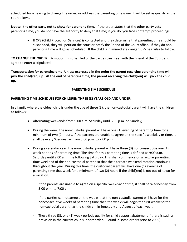scheduled for a hearing to change the order, or address the parenting time issue, it will be set as quickly as the court allows.

**Not tell the other party not to show for parenting time**. If the order states that the other party gets parenting time, you do not have the authority to deny that time; if you do, you face contempt proceedings.

> • If CPS (Child Protection Services) is contacted and they determine that parenting time should be suspended, they will petition the court or notify the Friend of the Court office. If they do not, parenting time will go as scheduled. If the child is in immediate danger, CPS has rules to follow.

**TO CHANGE THE ORDER:**  A motion must be filed or the parties can meet with the Friend of the Court and agree to enter a stipulated

**Transportation for parenting time: Unless expressed in the order the parent receiving parenting time will** pick the child(ren) up. At the end of parenting time, the parent receiving the child(ren) will pick the child **up.** 

# **PARENTING TIME SCHEDULE**

# **PARENTING TIME SCHEDULE FOR CHILDREN THREE (3) YEARS OLD AND UNDER:**

In a family where the oldest child is under the age of three (3), the non-custodial parent will have the children as follows:

- Alternating weekends from 9:00 a.m. Saturday until 6:00 p.m. on Sunday;
- During the week, the non-custodial parent will have one (1) evening of parenting time for a minimum of two (2) hours. If the parents are unable to agree on the specific weekday or time, it shall be every Wednesday from 5:00 p.m. to 7:00 p.m.;
- During a calendar year, the non-custodial parent will have three (3) nonconsecutive one (1) week periods of parenting time. The time for this parenting time is defined as 9:00 a.m. Saturday until 9:00 a.m. the following Saturday. This shall commence on a regular parenting time weekend of the non-custodial parent so that the alternate weekend rotation continues throughout the year. During this time, the custodial parent will have one (1) evening of parenting time that week for a minimum of two (2) hours if the child(ren) is not out‐of‐town for a vacation.
	- If the parents are unable to agree on a specific weekday or time, it shall be Wednesday from 5:00 p.m. to 7:00 p.m.
	- If the parties cannot agree on the weeks that the non‐custodial parent will have for the nonconsecutive weeks of parenting time then the weeks will begin the first weekend the non‐custodial parent has the child(ren) in June, July and August of each year.
	- These three (3), one (1) week periods qualify for child support abatement if there is such a provision in the current child support order. (Found in some orders prior to 2009)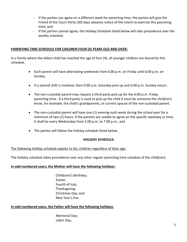- If the parties can agree on a different week for parenting time, the parties will give the Friend of the Court thirty (30) days advance notice of the intent to exercise this parenting time; and
- If the parties cannot agree, the Holiday Schedule listed below will take precedence over the weekly schedule.

# **PARENTING TIME SCHEDULE FOR CHILDREN FOUR (4) YEARS OLD AND OVER:**

In a family where the oldest child has reached the age of four (4), all younger children are bound by this schedule.

- Each parent will have alternating weekends from 6:00 p.m. on Friday until 6:00 p.m. on Sunday.
- If a second shift is involved, then 9:00 a.m. Saturday pick-up and 6:00 p.m. Sunday return.
- The non-custodial parent may request a third-party pick-up for the 6:00 p.m. Friday parenting time. If a third party is used to pick up the child it must be someone the child(ren) know, for example, the child's grandparents, or current spouse of the non‐custodial parent.
- The non-custodial parent will have one (1) evening each week during the school year for a minimum of two (2) hours. If the parents are unable to agree on the specific weekday or time, it shall be every Wednesday from 5:00 p.m. to 7:00 p.m.; and
- The parties will follow the holiday schedule listed below.

#### **HOLIDAY SCHEDULE:**

#### The following holiday schedule applies to ALL children regardless of their age.

The holiday schedule takes precedence over any other regular parenting time schedule of the child(ren).

#### **In odd numbered years, the Mother will have the following holidays:**

Child(ren)'s Birthday; Easter; Fourth of July; Thanksgiving; Christmas Day; and New Year's Eve.

#### **In odd numbered years, the Father will have the following holidays:**

Memorial Day; Labor Day;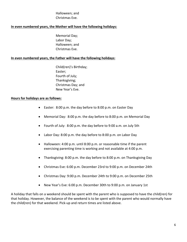# Halloween; and Christmas Eve.

#### **In even numbered years, the Mother will have the following holidays:**

Memorial Day; Labor Day; Halloween; and Christmas Eve.

#### **In even numbered years, the Father will have the following holidays:**

Child(ren)'s Birthday; Easter; Fourth of July; Thanksgiving; Christmas Day; and New Year's Eve.

#### **Hours for holidays are as follows:**

- Easter: 8:00 p.m. the day before to 8:00 p.m. on Easter Day
- Memorial Day: 8:00 p.m. the day before to 8:00 p.m. on Memorial Day
- Fourth of July: 8:00 p.m. the day before to 9:00 a.m. on July 5th
- Labor Day: 8:00 p.m. the day before to 8:00 p.m. on Labor Day
- Halloween: 4:00 p.m. until 8:00 p.m. or reasonable time if the parent exercising parenting time is working and not available at 4:00 p.m.
- Thanksgiving: 8:00 p.m. the day before to 8:00 p.m. on Thanksgiving Day
- Christmas Eve: 6:00 p.m. December 23rd to 9:00 p.m. on December 24th
- Christmas Day: 9:00 p.m. December 24th to 9:00 p.m. on December 25th
- New Year's Eve: 6:00 p.m. December 30th to 9:00 p.m. on January 1st

A holiday that falls on a weekend should be spent with the parent who is supposed to have the child(ren) for that holiday. However, the balance of the weekend is to be spent with the parent who would normally have the child(ren) for that weekend. Pick‐up and return times are listed above.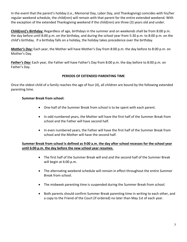In the event that the parent's holiday (i.e., Memorial Day, Labor Day, and Thanksgiving) coincides with his/her regular weekend schedule, the child(ren) will remain with that parent for the entire extended weekend. With the exception of the extended Thanksgiving weekend if the child(ren) are three (3) years old and under.

**Child(ren)'s Birthday:** Regardless of age, birthdays in the summer and on weekends shall be from 8:00 p.m. the day before until 8:00 p.m. on the birthday, and during the school year from 5:30 p.m. to 8:00 p.m. on the child's birthday. If a birthday falls on a holiday, the holiday takes precedence over the birthday.

*Mother's Day:* Each year, the Mother will have Mother's Day from 8:00 p.m. the day before to 8:00 p.m. on Mother's Day.

*Father's Day:* Each year, the Father will have Father's Day from 8:00 p.m. the day before to 8:00 p.m. on Father's Day.

# **PERIODS OF EXTENDED PARENTING TIME**

Once the oldest child of a family reaches the age of four (4), all children are bound by the following extended parenting time.

# **Summer Break from school:**

- One-half of the Summer Break from school is to be spent with each parent.
- In odd numbered years, the Mother will have the first half of the Summer Break from school and the Father will have second half.
- In even numbered years, the Father will have the first half of the Summer Break from school and the Mother will have the second half.

# **Summer Break from school is defined as 9:00 a.m. the day after school recesses for the school year until 6:00 p.m. the day before the new school year resumes.**

- The first half of the Summer Break will end and the second half of the Summer Break will begin at 6:00 p.m.
- The alternating weekend schedule will remain in effect throughout the entire Summer Break from school.
- The midweek parenting time is suspended during the Summer Break from school.
- Both parents should confirm Summer Break parenting time in writing to each other, and a copy to the Friend of the Court (if ordered) no later than May 1st of each year.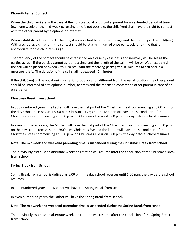# **Phone/Internet Contact:**

When the child(ren) are in the care of the non-custodial or custodial parent for an extended period of time (e.g., one week) or the mid‐week parenting time is not possible, the child(ren) shall have the right to contact with the other parent by telephone or Internet.

When establishing the contact schedule, it is important to consider the age and the maturity of the child(ren). With a school age child(ren), the contact should be at a minimum of once per week for a time that is appropriate for the child(ren)'s age.

The frequency of the contact should be established on a case by case basis and normally will be set as the parties agree. If the parties cannot agree to a time and the length of the call, it will be on Wednesday night, the call will be placed between 7 to 7:30 pm, with the receiving party given 10 minutes to call back if a message is left. The duration of the call shall not exceed 45 minutes.

If the child(ren) will be vacationing or residing at a location different from the usual location, the other parent should be informed of a telephone number, address and the means to contact the other parent in case of an emergency.

# **Christmas Break from School:**

In odd numbered years, the Father will have the first part of the Christmas Break commencing at 6:00 p.m. on the day school recesses until 9:00 p.m. Christmas Eve; and the Mother will have the second part of the Christmas Break commencing at 9:00 p.m. on Christmas Eve until 6:00 p.m. the day before school resumes.

In even numbered years, the Mother will have the first part of the Christmas Break commencing at 6:00 p.m. on the day school recesses until 9:00 p.m. Christmas Eve and the Father will have the second part of the Christmas Break commencing at 9:00 p.m. on Christmas Eve until 6:00 p.m. the day before school resumes.

#### **Note: The midweek and weekend parenting time is suspended during the Christmas Break from school.**

The previously established alternate weekend rotation will resume after the conclusion of the Christmas Break from school.

#### **Spring Break from School:**

Spring Break from school is defined as 6:00 p.m. the day school recesses until 6:00 p.m. the day before school resumes.

In odd numbered years, the Mother will have the Spring Break from school.

In even numbered years, the Father will have the Spring Break from school.

#### **Note: The midweek and weekend parenting time is suspended during the Spring Break from school.**

The previously established alternate weekend rotation will resume after the conclusion of the Spring Break from school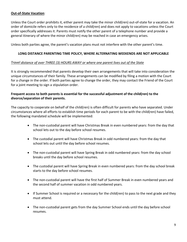# **Out‐of‐State Vacation**:

Unless the Court order prohibits it, either parent may take the minor child(ren) out‐of‐state for a vacation. An order of domicile refers only to the residence of a child(ren) and does not apply to vacations unless the Court order specifically addresses it. Parents must notify the other parent of a telephone number and provide a general itinerary of where the minor child(ren) may be reached in case an emergency arises.

Unless both parties agree, the parent's vacation plans must not interfere with the other parent's time.

# **LONG DISTANCE PARENTING TIME POLICY, WHERE ALTERNATING WEEKENDS ARE NOT APPLICABLE**

# *Travel distance of over THREE (3) HOURS AWAY or where one parent lives out of the State*

It is strongly recommended that parents develop their own arrangements that will take into consideration the unique circumstances of their family. These arrangements can be modified by filing a motion with the Court for a change in the order. If both parties agree to change the order, they may contact the Friend of the Court for a joint meeting to sign a stipulation order.

# **Frequent access to both parents is essential for the successful adjustment of the child(ren) to the divorce/separation of their parents.**

The capacity to cooperate on behalf of the child(ren) is often difficult for parents who have separated. Under circumstances where all efforts to establish time periods for each parent to be with the child(ren) have failed, the following mandated schedule will be implemented:

- The non-custodial parent will have Christmas Break in even numbered years: from the day that school lets out to the day before school resumes.
- The custodial parent will have Christmas Break in odd numbered years: from the day that school lets out until the day before school resumes.
- The non-custodial parent will have Spring Break in odd numbered years: from the day school breaks until the day before school resumes.
- The custodial parent will have Spring Break in even numbered years: from the day school break starts to the day before school resumes.
- The non-custodial parent will have the first half of Summer Break in even numbered years and the second half of summer vacation in odd numbered years.
- If Summer School is required or a necessary for the child(ren) to pass to the next grade and they must attend.
- The non-custodial parent gets from the day Summer School ends until the day before school resumes.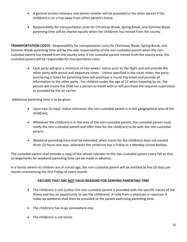- A general written itinerary and phone number will be provided to the other parent if the child(ren) is on a trip away from either parent's home.
- Responsibility for transportation costs for Christmas Break, Spring Break, and Summer Break parenting time will be shared equally when the child(ren) has moved from the county.

**TRANSPORTATION COSTS**: Responsibility for transportation costs for Christmas Break, Spring Break, and Summer Break parenting time will be the sole responsibility of the non‐custodial parent when the non‐ custodial parent has moved from the county area; if the custodial parent moved from the county area, the custodial parent will be responsible for transportation costs.

> Each party will give a minimum of two weeks' notice prior to the flight and will provide the other party with arrival and departure times. Unless specified in the court order, the party purchasing a ticket for parenting time will purchase a round trip ticket and provide all information to the other party. For children under the age of 12 when traveling by air, the person will insure the child has a person to travel with or will purchase the required supervision as provided by the air carrier.

Additional parenting time is to be given:

- Upon two (2) days' notice whenever the non-custodial parent is in the geographical area of the child(ren);
- Whenever the child(ren) is in the area of the non-custodial parent, the custodial parent must notify the non-custodial parent and offer time for the child(ren) to be with the non-custodial parent;
- Weekend parenting time shall be extended, when travel for the child(ren) does not exceed three (3) hours one way, whenever the child(ren) has a Friday or a Monday school holiday.

The custodial parent shall provide a copy of the school calendar to the non‐custodial parent every fall so that arrangements for weekend parenting time can be made in advance.

In a family where no children are of school age, the non‐custodial parent will be entitled to five (5) days per month commencing the first Friday of every month.

# **EXCUSES THAT ARE NOT VALID REASONS FOR DENYING PARENTING TIME**

- The child(ren) is sick [unless the non-custodial parent is provided with the specific nature of the illness and has an opportunity to see the child(ren)]. A note from a physician is required. A make‐up weekend shall then be provided to the parent exercising parenting time.
- The child(ren) has to go somewhere else.
- The child(ren) is not home.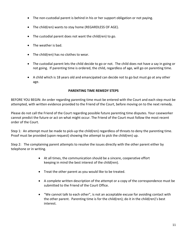- The non-custodial parent is behind in his or her support obligation or not paying.
- The child(ren) wants to stay home (REGARDLESS OF AGE).
- The custodial parent does not want the child(ren) to go.
- The weather is bad.
- The child(ren) has no clothes to wear.
- The custodial parent lets the child decide to go or not. The child does not have a say in going or not going. If parenting time is ordered, the child, regardless of age, will go on parenting time.
- A child which is 18 years old and emancipated can decide not to go but must go at any other age.

# **PARENTING TIME REMEDY STEPS**

BEFORE YOU BEGIN: An order regarding parenting time must be entered with the Court and each step must be attempted, with written evidence provided to the Friend of the Court, before moving on to the next remedy.

Please do not call the Friend of the Court regarding possible future parenting time disputes. Your caseworker cannot predict the future or act on what might occur. The Friend of the Court must follow the most recent order of the Court.

Step 1: An attempt must be made to pick-up the child(ren) regardless of threats to deny the parenting time. Proof must be provided (upon request) showing the attempt to pick the child(ren) up.

Step 2: The complaining parent attempts to resolve the issues directly with the other parent either by telephone or in writing.

- At all times, the communication should be a sincere, cooperative effort keeping in mind the best interest of the child(ren).
- Treat the other parent as you would like to be treated.
- A complete written description of the attempt or a copy of the correspondence must be submitted to the Friend of the Court Office.
- "We cannot talk to each other", is not an acceptable excuse for avoiding contact with the other parent. Parenting time is for the child(ren); do it in the child(ren)'s best interest.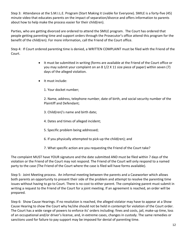Step 3: Attendance at the S.M.I.L.E. Program (Start Making it Livable for Everyone). SMILE is a forty‐five (45) minute video that educates parents on the impact of separation/divorce and offers information to parents about how to help make the process easier for their child(ren).

Parties, who are getting divorced are ordered to attend the SMILE program. The Court has ordered that people getting parenting time and support orders through the Prosecutor's office attend this program for the benefit of the child(ren). For more information, call the Friend of the Court office.

Step 4: If Court ordered parenting time is denied, a WRITTEN COMPLAINT must be filed with the Friend of the Court.

- It must be submitted in writing (forms are available at the Friend of the Court office or you may submit your complaint on an 8 1/2 X 11 size piece of paper) within seven (7) days of the alleged violation.
- It must include:
	- 1. Your docket number;

2. Name, address, telephone number, date of birth, and social security number of the Plaintiff and Defendant;

- 3. Child(ren)'s name and birth date;
- 4. Dates and times of alleged incident;
- 5. Specific problem being addressed;
- 6. If you physically attempted to pick‐up the child(ren); and
- 7. What specific action are you requesting the Friend of the Court take?

The complaint MUST have YOUR signature and the date submitted AND must be filed within 7 days of the violation or the Friend of the Court may not respond. The Friend of the Court will only respond to a named party to the case (The Friend of the Court where the case is filed will have forms available).

Step 5: Joint Meeting process. An informal meeting between the parents and a Caseworker which allows both parents an opportunity to present their side of the problem and attempt to resolve the parenting time issues without having to go to Court. There is no cost to either parent. The complaining parent must submit in writing a request to the Friend of the Court for a joint meeting. If an agreement is reached, an order will be prepared.

Step 6: Show Cause Hearings. If no resolution is reached, the alleged violator may have to appear at a Show Cause Hearing to show the Court why he/she should not be held in contempt for violation of the Court order. The Court has a wide range of powers to enforce its' orders including: fines and costs, jail, make‐up time, loss of an occupational and/or driver's license, and, in extreme cases, changes in custody. The same remedies or sanctions used for failure to pay support may be imposed for denial of parenting time.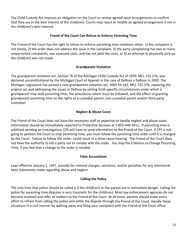The Child Custody Act imposes an obligation on the Court to review agreed upon arrangements to confirm that they are in the best interest of the child(ren). Courts may reject or modify an agreed arrangement if not in the child(ren)'s best interest.

# **Friend of the Court Can Refuse to Enforce Parenting Time**

The Friend of the Court has the right to refuse to enforce parenting time violations when: 1) the complaint is not timely, 2) the order does not address the issue in the complaint, 3) the party complaining has two or more unwarranted complaints, was assessed costs, and has not paid the costs, or 4) an attempt to physically pick‐up the child(ren) was not made.

# **Grandparent Visitation**

The grandparent visitation act, Section 7b of the Michigan Child Custody Act of 1970, MCL 722.27b, was declared unconstitutional by the Michigan Court of Appeals in the case of DeRose v DeRose in 2003. The Michigan Legislature has passed a new grandparent visitation act, 2005 PA 542, MCL 722.27b, replacing the original act and addressing the issues in DeRose by setting forth specific circumstances under which a grandparent may seek parenting time, the procedures which must be followed, and the effect of granting grandparent parenting time on the rights of a custodial parent, non-custodial parent and/or third party custodian.

# **Neglect & Abuse Cases**

The Friend of the Court does not have the necessary staff or expertise to handle neglect and abuse cases. Information should be immediately reported to Protective Services at 1‐855‐444‐3911. If parenting time is withheld pending an investigation, CPS will have to send information to the Friend of the Court. If CPS is not going to petition the Court to stop parenting time, you must follow the parenting time order until it is changed by the Court. Failure to follow the order, could result in a show cause hearing. The Friend of the Court does not have the authority to tell a party not to comply with the order. You may file a Motion to Change Parenting Time, if you feel that a change to the order is needed.

#### **False Accusations**

Laws effective January 1, 1997, provide for criminal charges, sanctions, and/or penalties for any intentional false statements made regarding abuse and neglect.

#### **Calling the Police**

The only time that police should be called is if the child(ren) or the parties are in immediate danger. Calling the police for parenting time disputes is very traumatic for the child(ren). Most law enforcement agencies do not become involved and refer all matters to the Friend of the Court. At all times, parents should make every effort to refrain from calling the police and settle the dispute through the Friend of the Court. Handle these situations in a civil manner by walking away and filing your complaint with the Friend of the Court office.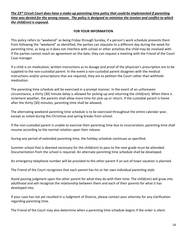#### The 23<sup>rd</sup> Circuit Court does have a make-up parenting time policy that could be implemented if parenting time was denied for the wrong reason. The policy is designed to minimize the tension and conflict to which *the child(ren) is exposed.*

#### **FOR YOUR INFORMATION**

This policy refers to "weekend" as being Friday through Sunday, if a person's work schedule prevents them from following the "weekend" as identified, the parties can stipulate to a different day during the week for parenting time, as long as it does not interfere with school or other activities the child may be involved with. If the parties cannot reach an agreement on the date, they can request a meeting with the Friend of the Court Case manager.

If a child is on medication, written instructions as to dosage and proof of the physician's prescription are to be supplied to the non-custodial parent. In the event a non-custodial parent disagrees with the medical instructions and/or prescriptions that are required, they are to petition the Court rather than withhold medication.

The parenting time schedule will be exercised in a prompt manner. In the event of an unforeseen circumstance, a thirty (30) minute delay is allowed for picking‐up and returning the child(ren). When there is inclement weather, the parents shall allow more time for pick-up or return. If the custodial parent is home after the thirty (30) minutes, parenting time shall be allowed.

The alternating weekend parenting time schedule is to be exercised throughout the entire calendar year, except as noted during the Christmas and spring breaks from school.

If the non-custodial parent is unable to exercise their parenting time due to incarceration, parenting time shall resume according to the normal rotation upon their release.

During any period of extended parenting time, the holiday schedule continues as specified.

Summer school that is deemed necessary for the child(ren) to pass to the next grade must be attended. Documentation from the school is required. An alternate parenting time schedule shall be developed.

An emergency telephone number will be provided to the other parent if an out-of-town vacation is planned.

The Friend of the Court recognizes that each parent has his or her own individual parenting style.

Avoid passing judgment upon the other parent for what they do with their time. The child(ren) will grow into adulthood and will recognize the relationship between them and each of their parents for what it has developed into.

If your case has not yet resulted in a Judgment of Divorce, please contact your attorney for any clarification regarding parenting time.

The Friend of the Court may also determine when a parenting time schedule begins if the order is silent.